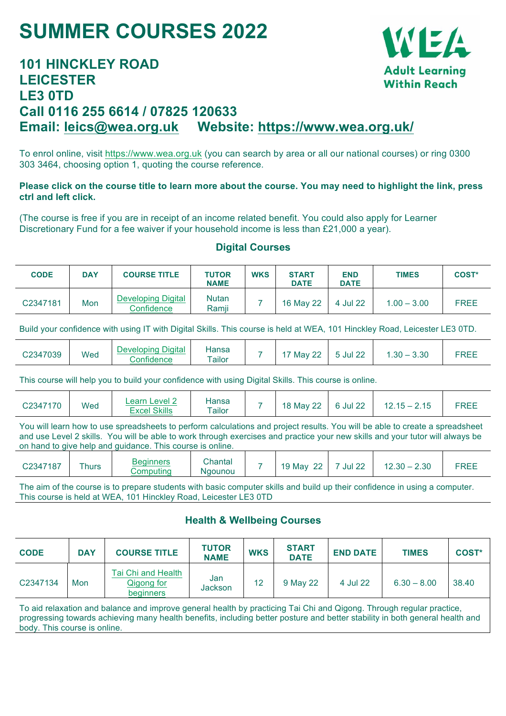# **SUMMER COURSES 2022**

## **101 HINCKLEY ROAD LEICESTER LE3 0TD Call 0116 255 6614 / 07825 120633 Email: leics@wea.org.uk Website: https://www.wea.org.uk/**

To enrol online, visit https://www.wea.org.uk (you can search by area or all our national courses) or ring 0300 303 3464, choosing option 1, quoting the course reference.

#### **Please click on the course title to learn more about the course. You may need to highlight the link, press ctrl and left click.**

(The course is free if you are in receipt of an income related benefit. You could also apply for Learner Discretionary Fund for a fee waiver if your household income is less than £21,000 a year).

#### **Digital Courses**

| <b>CODE</b> | <b>DAY</b> | <b>COURSE TITLE</b>                     | <b>TUTOR</b><br><b>NAME</b> | <b>WKS</b> | <b>START</b><br><b>DATE</b> | <b>END</b><br><b>DATE</b> | <b>TIMES</b>  | <b>COST*</b> |
|-------------|------------|-----------------------------------------|-----------------------------|------------|-----------------------------|---------------------------|---------------|--------------|
| C2347181    | Mon        | <b>Developing Digital</b><br>Confidence | <b>Nutan</b><br>Ramji       |            | 16 May 22                   | 4 Jul 22                  | $1.00 - 3.00$ | <b>FREE</b>  |

Build your confidence with using IT with Digital Skills. This course is held at WEA, 101 Hinckley Road, Leicester LE3 0TD.

|  | C2347039 | Wea | Developing Digital<br>:onfidence | Hansa<br>$\tau$ ailor |  | May 22 | 5 Jul 22 | 3.30<br>$.30 -$ |  |
|--|----------|-----|----------------------------------|-----------------------|--|--------|----------|-----------------|--|
|--|----------|-----|----------------------------------|-----------------------|--|--------|----------|-----------------|--|

This course will help you to build your confidence with using Digital Skills. This course is online.

| C2347170 | Wed | Learn Level 2<br><b>Excel Skills</b> | Hansa<br>$\tau$ ailor |  | 18 May 22 | 6 Jul 22 | 2.15<br>ົ 15 – ∠<br>Z.<br>2. I J | FREE |
|----------|-----|--------------------------------------|-----------------------|--|-----------|----------|----------------------------------|------|
|----------|-----|--------------------------------------|-----------------------|--|-----------|----------|----------------------------------|------|

You will learn how to use spreadsheets to perform calculations and project results. You will be able to create a spreadsheet and use Level 2 skills. You will be able to work through exercises and practice your new skills and your tutor will always be on hand to give help and guidance. This course is online.

| C2347187 | Thurs | Beginners<br>Computina | Chantal<br><b>Naounou</b> | - | nn<br>19<br>Mav | $\sim$<br>Jul<br>22 | 2.30<br>2.30 | FREE |
|----------|-------|------------------------|---------------------------|---|-----------------|---------------------|--------------|------|
|          |       |                        |                           |   |                 |                     |              |      |

The aim of the course is to prepare students with basic computer skills and build up their confidence in using a computer. This course is held at WEA, 101 Hinckley Road, Leicester LE3 0TD

#### **Health & Wellbeing Courses**

| <b>CODE</b> | <b>DAY</b> | <b>COURSE TITLE</b>                           | <b>TUTOR</b><br><b>NAME</b> | <b>WKS</b> | <b>START</b><br><b>DATE</b> | <b>END DATE</b> | <b>TIMES</b>  | <b>COST*</b> |
|-------------|------------|-----------------------------------------------|-----------------------------|------------|-----------------------------|-----------------|---------------|--------------|
| C2347134    | Mon        | Tai Chi and Health<br>Qigong for<br>beginners | Jan<br>Jackson              | 12         | 9 May 22                    | 4 Jul 22        | $6.30 - 8.00$ | 38.40        |

To aid relaxation and balance and improve general health by practicing Tai Chi and Qigong. Through regular practice, progressing towards achieving many health benefits, including better posture and better stability in both general health and body. This course is online.

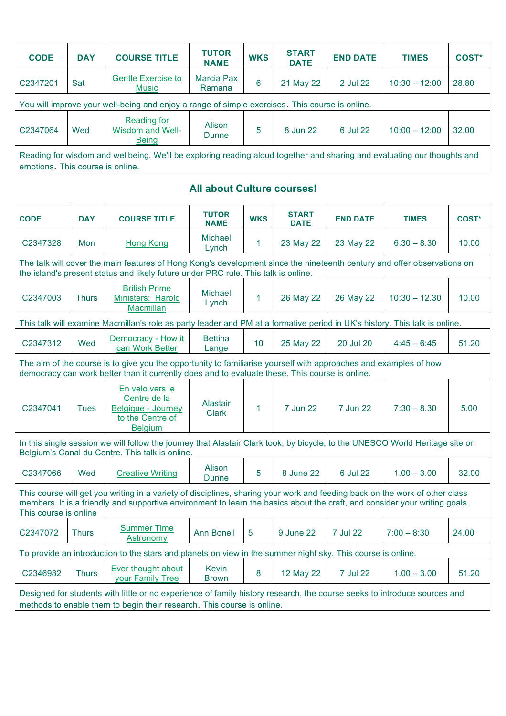| <b>CODE</b>                                                                                                             | <b>DAY</b> | <b>COURSE TITLE</b>                                    | <b>TUTOR</b><br><b>NAME</b>   | <b>WKS</b> | <b>START</b><br><b>DATE</b> | <b>END DATE</b> | <b>TIMES</b>    | <b>COST*</b> |  |
|-------------------------------------------------------------------------------------------------------------------------|------------|--------------------------------------------------------|-------------------------------|------------|-----------------------------|-----------------|-----------------|--------------|--|
| C2347201                                                                                                                | Sat        | <b>Gentle Exercise to</b><br>Music                     | <b>Marcia Pax</b><br>Ramana   | 6          | 21 May 22                   | 2 Jul 22        | $10:30 - 12:00$ | 28.80        |  |
| You will improve your well-being and enjoy a range of simple exercises. This course is online.                          |            |                                                        |                               |            |                             |                 |                 |              |  |
| C2347064                                                                                                                | Wed        | Reading for<br><b>Wisdom and Well-</b><br><b>Being</b> | <b>Alison</b><br><b>Dunne</b> | 5          | 8 Jun 22                    | 6 Jul 22        | $10:00 - 12:00$ | 32.00        |  |
| Reading for wisdom and wellbeing. We'll be exploring reading aloud together and sharing and evaluating our thoughts and |            |                                                        |                               |            |                             |                 |                 |              |  |

emotions. This course is online.

### **All about Culture courses!**

| <b>CODE</b>                                                                                                                                                                                                        | <b>DAY</b>   | <b>COURSE TITLE</b>                                                                                                                                                                                                                                       | <b>TUTOR</b>                           | <b>WKS</b>      | <b>START</b>             | <b>END DATE</b> | <b>TIMES</b>    | <b>COST*</b> |  |  |
|--------------------------------------------------------------------------------------------------------------------------------------------------------------------------------------------------------------------|--------------|-----------------------------------------------------------------------------------------------------------------------------------------------------------------------------------------------------------------------------------------------------------|----------------------------------------|-----------------|--------------------------|-----------------|-----------------|--------------|--|--|
| C2347328                                                                                                                                                                                                           | Mon          | Hong Kong                                                                                                                                                                                                                                                 | <b>NAME</b><br><b>Michael</b><br>Lynch | $\mathbf{1}$    | <b>DATE</b><br>23 May 22 | 23 May 22       | $6:30 - 8.30$   | 10.00        |  |  |
|                                                                                                                                                                                                                    |              | The talk will cover the main features of Hong Kong's development since the nineteenth century and offer observations on<br>the island's present status and likely future under PRC rule. This talk is online.                                             |                                        |                 |                          |                 |                 |              |  |  |
| C2347003                                                                                                                                                                                                           | <b>Thurs</b> | <b>British Prime</b><br>Ministers: Harold<br>Macmillan                                                                                                                                                                                                    | <b>Michael</b><br>Lynch                | $\mathbf{1}$    | 26 May 22                | 26 May 22       | $10:30 - 12.30$ | 10.00        |  |  |
| This talk will examine Macmillan's role as party leader and PM at a formative period in UK's history. This talk is online.                                                                                         |              |                                                                                                                                                                                                                                                           |                                        |                 |                          |                 |                 |              |  |  |
| C2347312                                                                                                                                                                                                           | Wed          | Democracy - How it<br>can Work Better                                                                                                                                                                                                                     | <b>Bettina</b><br>Lange                | 10 <sub>1</sub> | 25 May 22                | 20 Jul 20       | $4:45 - 6:45$   | 51.20        |  |  |
| The aim of the course is to give you the opportunity to familiarise yourself with approaches and examples of how<br>democracy can work better than it currently does and to evaluate these. This course is online. |              |                                                                                                                                                                                                                                                           |                                        |                 |                          |                 |                 |              |  |  |
| C2347041                                                                                                                                                                                                           | <b>Tues</b>  | En velo vers le<br>Centre de la<br>Belgique - Journey<br>to the Centre of<br><b>Belgium</b>                                                                                                                                                               | Alastair<br><b>Clark</b>               | 1               | 7 Jun 22                 | 7 Jun 22        | $7:30 - 8.30$   | 5.00         |  |  |
|                                                                                                                                                                                                                    |              | In this single session we will follow the journey that Alastair Clark took, by bicycle, to the UNESCO World Heritage site on<br>Belgium's Canal du Centre. This talk is online.                                                                           |                                        |                 |                          |                 |                 |              |  |  |
| C <sub>2347066</sub>                                                                                                                                                                                               | Wed          | <b>Creative Writing</b>                                                                                                                                                                                                                                   | Alison<br><b>Dunne</b>                 | 5               | 8 June 22                | 6 Jul 22        | $1.00 - 3.00$   | 32.00        |  |  |
| This course is online                                                                                                                                                                                              |              | This course will get you writing in a variety of disciplines, sharing your work and feeding back on the work of other class<br>members. It is a friendly and supportive environment to learn the basics about the craft, and consider your writing goals. |                                        |                 |                          |                 |                 |              |  |  |
| C2347072                                                                                                                                                                                                           | <b>Thurs</b> | <b>Summer Time</b><br>Astronomy                                                                                                                                                                                                                           | <b>Ann Bonell</b>                      | $5\phantom{1}$  | 9 June 22                | 7 Jul 22        | $7:00 - 8:30$   | 24.00        |  |  |
|                                                                                                                                                                                                                    |              | To provide an introduction to the stars and planets on view in the summer night sky. This course is online.                                                                                                                                               |                                        |                 |                          |                 |                 |              |  |  |
| C2346982                                                                                                                                                                                                           | <b>Thurs</b> | Ever thought about<br>your Family Tree                                                                                                                                                                                                                    | <b>Kevin</b><br><b>Brown</b>           | 8               | 12 May 22                | 7 Jul 22        | $1.00 - 3.00$   | 51.20        |  |  |
|                                                                                                                                                                                                                    |              | Designed for students with little or no experience of family history research, the course seeks to introduce sources and<br>methods to enable them to begin their research. This course is online.                                                        |                                        |                 |                          |                 |                 |              |  |  |